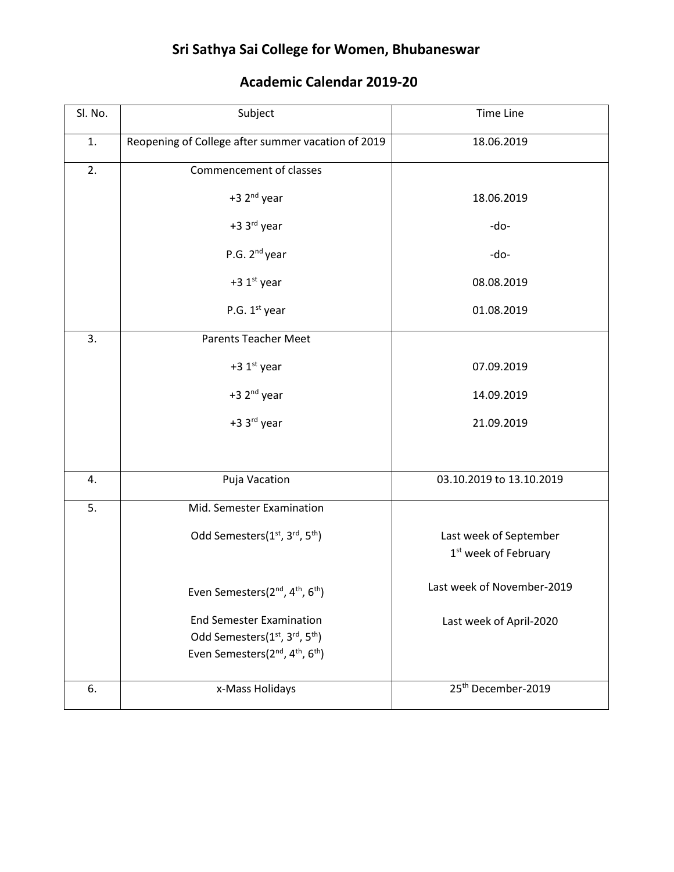## **Sri Sathya Sai College for Women, Bhubaneswar**

| Sl. No. | Subject                                                                                                                                              | <b>Time Line</b>                                           |
|---------|------------------------------------------------------------------------------------------------------------------------------------------------------|------------------------------------------------------------|
| 1.      | Reopening of College after summer vacation of 2019                                                                                                   | 18.06.2019                                                 |
| 2.      | Commencement of classes                                                                                                                              |                                                            |
|         | +3 2 <sup>nd</sup> year                                                                                                                              | 18.06.2019                                                 |
|         | +3 3rd year                                                                                                                                          | -do-                                                       |
|         | P.G. 2 <sup>nd</sup> year                                                                                                                            | -do-                                                       |
|         | +3 1st year                                                                                                                                          | 08.08.2019                                                 |
|         | P.G. 1 <sup>st</sup> year                                                                                                                            | 01.08.2019                                                 |
| 3.      | <b>Parents Teacher Meet</b>                                                                                                                          |                                                            |
|         | +3 $1st$ year                                                                                                                                        | 07.09.2019                                                 |
|         | +3 2 <sup>nd</sup> year                                                                                                                              | 14.09.2019                                                 |
|         | +3 3rd year                                                                                                                                          | 21.09.2019                                                 |
|         |                                                                                                                                                      |                                                            |
| 4.      | Puja Vacation                                                                                                                                        | 03.10.2019 to 13.10.2019                                   |
| 5.      | Mid. Semester Examination                                                                                                                            |                                                            |
|         | Odd Semesters(1 <sup>st</sup> , 3 <sup>rd</sup> , 5 <sup>th</sup> )                                                                                  | Last week of September<br>1 <sup>st</sup> week of February |
|         | Even Semesters(2 <sup>nd</sup> , 4 <sup>th</sup> , 6 <sup>th</sup> )                                                                                 | Last week of November-2019                                 |
|         | <b>End Semester Examination</b><br>Odd Semesters(1st, 3rd, 5 <sup>th</sup> )<br>Even Semesters(2 <sup>nd</sup> , 4 <sup>th</sup> , 6 <sup>th</sup> ) | Last week of April-2020                                    |
| 6.      | x-Mass Holidays                                                                                                                                      | 25 <sup>th</sup> December-2019                             |

## **Academic Calendar 2019-20**